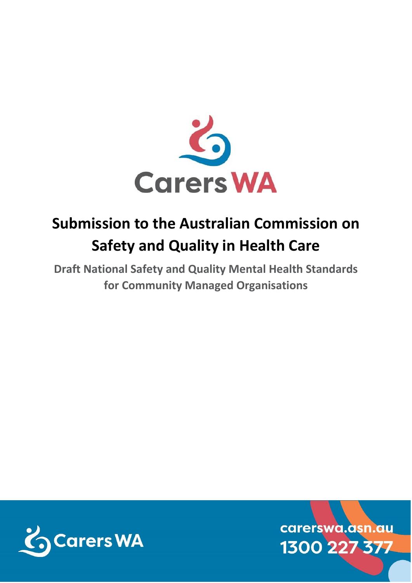

# **Submission to the Australian Commission on Safety and Quality in Health Care**

**Draft National Safety and Quality Mental Health Standards for Community Managed Organisations**



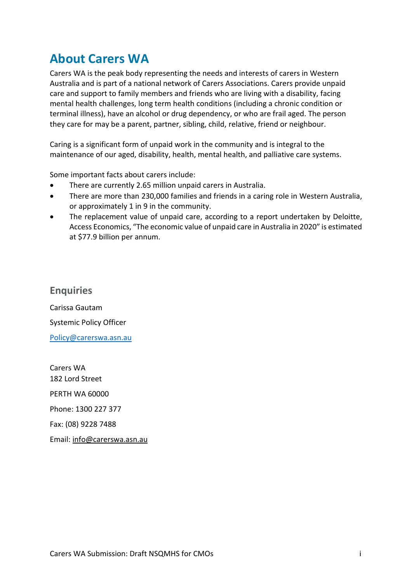### **About Carers WA**

Carers WA is the peak body representing the needs and interests of carers in Western Australia and is part of a national network of Carers Associations. Carers provide unpaid care and support to family members and friends who are living with a disability, facing mental health challenges, long term health conditions (including a chronic condition or terminal illness), have an alcohol or drug dependency, or who are frail aged. The person they care for may be a parent, partner, sibling, child, relative, friend or neighbour.

Caring is a significant form of unpaid work in the community and is integral to the maintenance of our aged, disability, health, mental health, and palliative care systems.

Some important facts about carers include:

- There are currently 2.65 million unpaid carers in Australia.
- There are more than 230,000 families and friends in a caring role in Western Australia, or approximately 1 in 9 in the community.
- The replacement value of unpaid care, according to a report undertaken by Deloitte, Access Economics, "The economic value of unpaid care in Australia in 2020" is estimated at \$77.9 billion per annum.

**Enquiries** Carissa Gautam Systemic Policy Officer [Policy@carerswa.asn.au](mailto:Policy@carerswa.asn.au)

Carers WA 182 Lord Street PERTH WA 60000 Phone: 1300 227 377 Fax: (08) 9228 7488 Email: [info@carerswa.asn.au](mailto:info@carerswa.asn.au)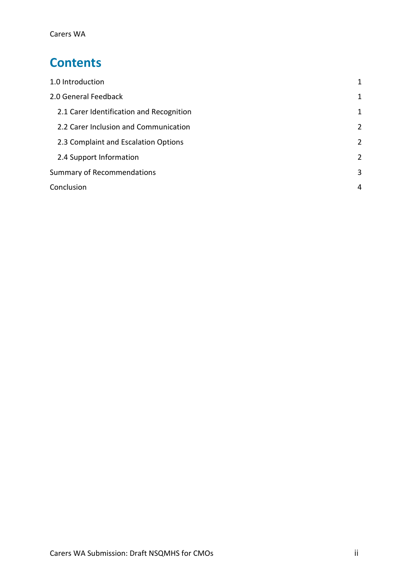### **Contents**

| 1.0 Introduction                         | 1 |
|------------------------------------------|---|
| 2.0 General Feedback                     | 1 |
| 2.1 Carer Identification and Recognition | 1 |
| 2.2 Carer Inclusion and Communication    | 2 |
| 2.3 Complaint and Escalation Options     | 2 |
| 2.4 Support Information                  | 2 |
| <b>Summary of Recommendations</b>        | 3 |
| Conclusion                               | 4 |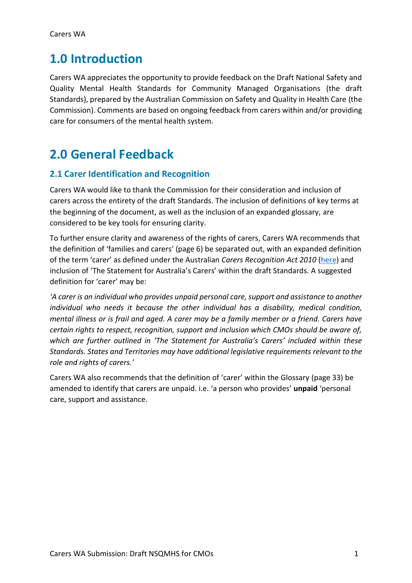### <span id="page-3-0"></span>**1.0 Introduction**

Carers WA appreciates the opportunity to provide feedback on the Draft National Safety and Quality Mental Health Standards for Community Managed Organisations (the draft Standards), prepared by the Australian Commission on Safety and Quality in Health Care (the Commission). Comments are based on ongoing feedback from carers within and/or providing care for consumers of the mental health system.

## <span id="page-3-1"></span>**2.0 General Feedback**

#### <span id="page-3-2"></span>**2.1 Carer Identification and Recognition**

Carers WA would like to thank the Commission for their consideration and inclusion of carers across the entirety of the draft Standards. The inclusion of definitions of key terms at the beginning of the document, as well as the inclusion of an expanded glossary, are considered to be key tools for ensuring clarity.

To further ensure clarity and awareness of the rights of carers, Carers WA recommends that the definition of 'families and carers' (page 6) be separated out, with an expanded definition of the term 'carer' as defined under the Australian *Carers Recognition Act 2010* [\(here\)](https://www.legislation.gov.au/Details/C2010A00123/Download) and inclusion of 'The Statement for Australia's Carers' within the draft Standards*.* A suggested definition for 'carer' may be:

*'A carer is an individual who provides unpaid personal care, support and assistance to another individual who needs it because the other individual has a disability, medical condition, mental illness or is frail and aged. A carer may be a family member or a friend. Carers have certain rights to respect, recognition, support and inclusion which CMOs should be aware of, which are further outlined in 'The Statement for Australia's Carers' included within these Standards. States and Territories may have additional legislative requirements relevant to the role and rights of carers.'*

Carers WA also recommends that the definition of 'carer' within the Glossary (page 33) be amended to identify that carers are unpaid. i.e. 'a person who provides' **unpaid** 'personal care, support and assistance.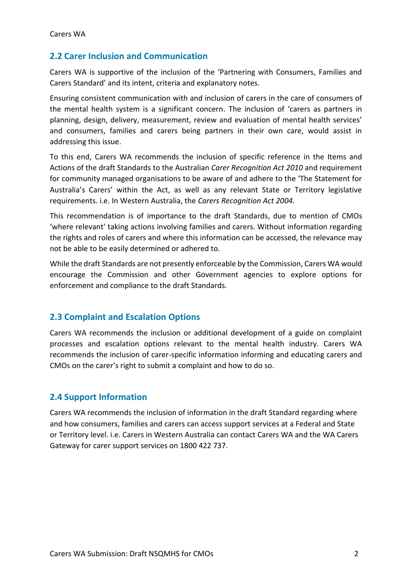#### <span id="page-4-0"></span>**2.2 Carer Inclusion and Communication**

Carers WA is supportive of the inclusion of the 'Partnering with Consumers, Families and Carers Standard' and its intent, criteria and explanatory notes.

Ensuring consistent communication with and inclusion of carers in the care of consumers of the mental health system is a significant concern. The inclusion of 'carers as partners in planning, design, delivery, measurement, review and evaluation of mental health services' and consumers, families and carers being partners in their own care, would assist in addressing this issue.

To this end, Carers WA recommends the inclusion of specific reference in the Items and Actions of the draft Standards to the Australian *Carer Recognition Act 2010* and requirement for community managed organisations to be aware of and adhere to the 'The Statement for Australia's Carers' within the Act, as well as any relevant State or Territory legislative requirements. i.e. In Western Australia, the *Carers Recognition Act 2004.*

This recommendation is of importance to the draft Standards, due to mention of CMOs 'where relevant' taking actions involving families and carers. Without information regarding the rights and roles of carers and where this information can be accessed, the relevance may not be able to be easily determined or adhered to.

While the draft Standards are not presently enforceable by the Commission, Carers WA would encourage the Commission and other Government agencies to explore options for enforcement and compliance to the draft Standards.

#### <span id="page-4-1"></span>**2.3 Complaint and Escalation Options**

Carers WA recommends the inclusion or additional development of a guide on complaint processes and escalation options relevant to the mental health industry. Carers WA recommends the inclusion of carer-specific information informing and educating carers and CMOs on the carer's right to submit a complaint and how to do so.

#### <span id="page-4-2"></span>**2.4 Support Information**

Carers WA recommends the inclusion of information in the draft Standard regarding where and how consumers, families and carers can access support services at a Federal and State or Territory level. i.e. Carers in Western Australia can contact Carers WA and the WA Carers Gateway for carer support services on 1800 422 737.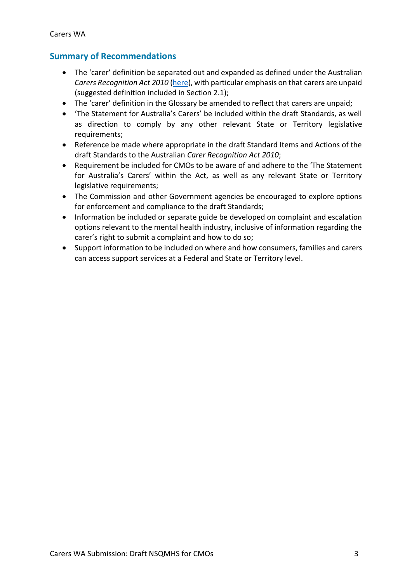#### <span id="page-5-0"></span>**Summary of Recommendations**

- The 'carer' definition be separated out and expanded as defined under the Australian *Carers Recognition Act 2010* [\(here\)](https://www.legislation.gov.au/Details/C2010A00123/Download), with particular emphasis on that carers are unpaid (suggested definition included in Section 2.1);
- The 'carer' definition in the Glossary be amended to reflect that carers are unpaid;
- 'The Statement for Australia's Carers' be included within the draft Standards, as well as direction to comply by any other relevant State or Territory legislative requirements;
- Reference be made where appropriate in the draft Standard Items and Actions of the draft Standards to the Australian *Carer Recognition Act 2010*;
- Requirement be included for CMOs to be aware of and adhere to the 'The Statement for Australia's Carers' within the Act, as well as any relevant State or Territory legislative requirements;
- The Commission and other Government agencies be encouraged to explore options for enforcement and compliance to the draft Standards;
- Information be included or separate guide be developed on complaint and escalation options relevant to the mental health industry, inclusive of information regarding the carer's right to submit a complaint and how to do so;
- Support information to be included on where and how consumers, families and carers can access support services at a Federal and State or Territory level.